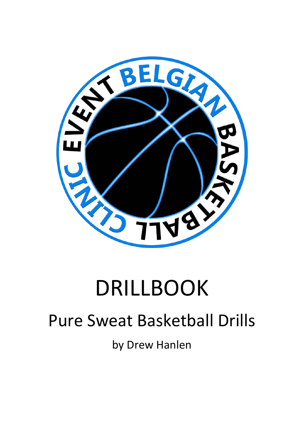

# DRILLBOOK

## Pure Sweat Basketball Drills

by Drew Hanlen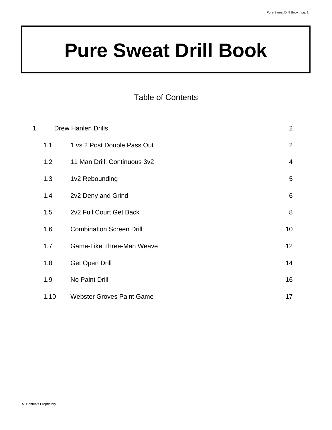#### Table of Contents

| 1. | <b>Drew Hanlen Drills</b> |                                  | $\overline{2}$  |
|----|---------------------------|----------------------------------|-----------------|
|    | 1.1                       | 1 vs 2 Post Double Pass Out      | 2               |
|    | 1.2                       | 11 Man Drill: Continuous 3v2     | $\overline{4}$  |
|    | 1.3                       | 1v2 Rebounding                   | 5               |
|    | 1.4                       | 2v2 Deny and Grind               | 6               |
|    | 1.5                       | 2v2 Full Court Get Back          | 8               |
|    | 1.6                       | <b>Combination Screen Drill</b>  | 10              |
|    | 1.7                       | Game-Like Three-Man Weave        | 12 <sup>2</sup> |
|    | 1.8                       | <b>Get Open Drill</b>            | 14              |
|    | 1.9                       | No Paint Drill                   | 16              |
|    | 1.10                      | <b>Webster Groves Paint Game</b> | 17              |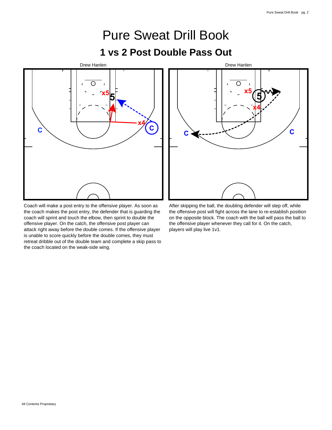### Pure Sweat Drill Book **1 vs 2 Post Double Pass Out**



Coach will make a post entry to the offensive player. As soon as the coach makes the post entry, the defender that is guarding the coach will sprint and touch the elbow, then sprint to double the offensive player. On the catch, the offensive post player can attack right away before the double comes. If the offensive player is unable to score quickly before the double comes, they must retreat dribble out of the double team and complete a skip pass to the coach located on the weak-side wing.



After skipping the ball, the doubling defender will step off, while the offensive post will fight across the lane to re-establish position on the opposite block. The coach with the ball will pass the ball to the offensive player whenever they call for it. On the catch, players will play live 1v1.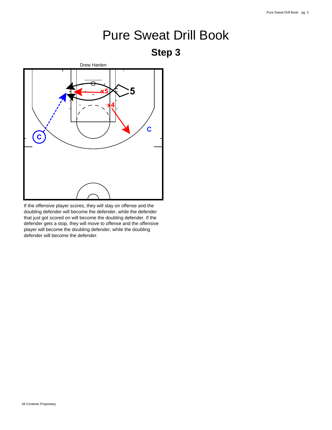



If the offensive player scores, they will stay on offense and the doubling defender will become the defender, while the defender that just got scored on will become the doubling defender. If the defender gets a stop, they will move to offense and the offensive player will become the doubling defender, while the doubling defender will become the defender.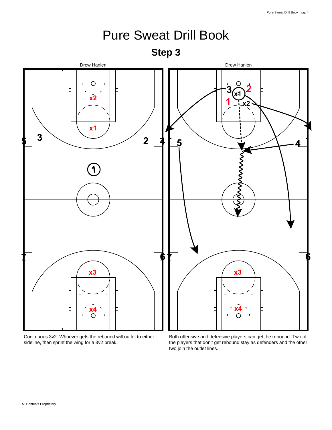

Conitnuous 3v2. Whoever gets the rebound will outlet to either sideline, then sprint the wing for a 3v2 break.

Both offensive and defensive players can get the rebound. Two of the players that don't get rebound stay as defenders and the other two join the outlet lines.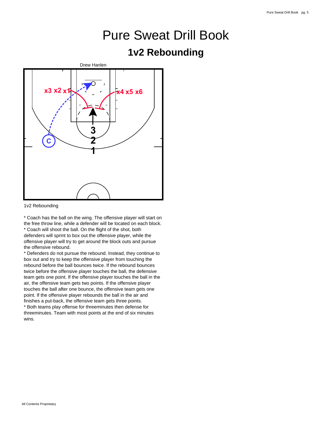#### **1v2 Rebounding**



<sup>1</sup>v2 Rebounding

\* Coach has the ball on the wing. The offensive player will start on the free throw line, while a defender will be located on each block. \* Coach will shoot the ball. On the flight of the shot, both defenders will sprint to box out the offensive player, while the offensive player will try to get around the block outs and pursue the offensive rebound.

\* Defenders do not pursue the rebound. Instead, they continue to box out and try to keep the offensive player from touching the rebound before the ball bounces twice. If the rebound bounces twice before the offensive player touches the ball, the defensive team gets one point. If the offensive player touches the ball in the air, the offensive team gets two points. If the offensive player touches the ball after one bounce, the offensive team gets one point. If the offensive player rebounds the ball in the air and finishes a put-back, the offensive team gets three points. \* Both teams play offense for threeminutes then defense for threeminutes. Team with most points at the end of six minutes wins.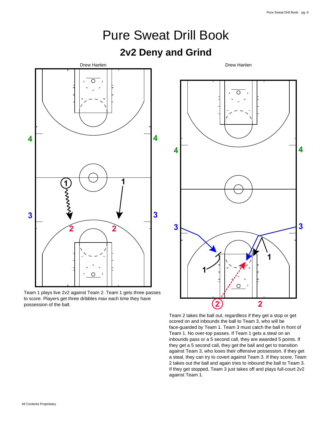

Team 2 takes the ball out, regardless if they get a stop or get scored on and inbounds the ball to Team 3, who will be face-guarded by Team 1. Team 3 must catch the ball in front of Team 1. No over-top passes. If Team 1 gets a steal on an inbounds pass or a 5 second call, they are awarded 5 points. If they get a 5 second call, they get the ball and get to transition against Team 3, who loses their offensive possession. If they get a steal, they can try to covert against Team 3. If they score, Team 2 takes out the ball and again tries to inbound the ball to Team 3. If they get stopped, Team 3 just takes off and plays full-court 2v2 against Team 1.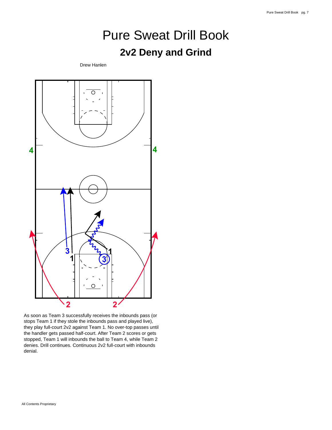#### **2v2 Deny and Grind**

Drew Hanlen



As soon as Team 3 successfully receives the inbounds pass (or stops Team 1 if they stole the inbounds pass and played live), they play full-court 2v2 against Team 1. No over-top passes until the handler gets passed half-court. After Team 2 scores or gets stopped, Team 1 will inbounds the ball to Team 4, while Team 2 denies. Drill continues. Continuous 2v2 full-court with inbounds denial.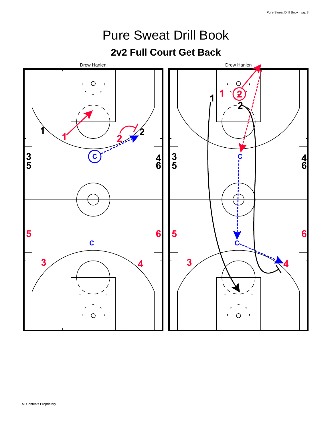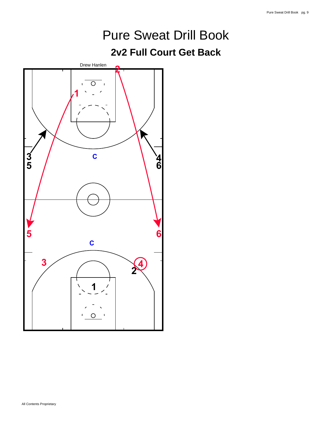#### **2v2 Full Court Get Back**

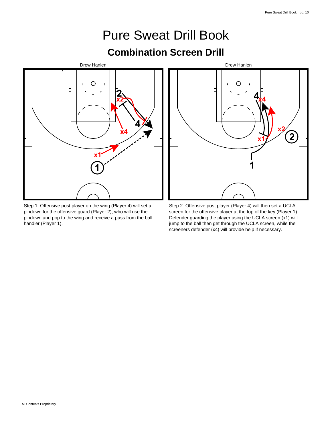### Pure Sweat Drill Book **Combination Screen Drill**



Step 1: Offensive post player on the wing (Player 4) will set a pindown for the offensive guard (Player 2), who will use the pindown and pop to the wing and receive a pass from the ball handler (Player 1).



Step 2: Offensive post player (Player 4) will then set a UCLA screen for the offensive player at the top of the key (Player 1). Defender guarding the player using the UCLA screen (x1) will jump to the ball then get through the UCLA screen, while the screeners defender (x4) will provide help if necessary.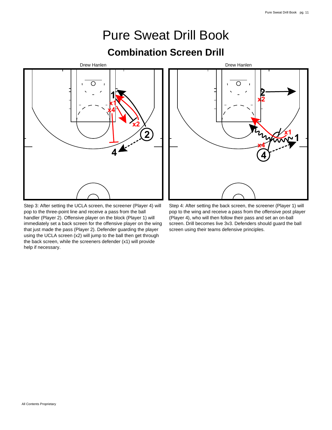### Pure Sweat Drill Book **Combination Screen Drill**



Step 3: After setting the UCLA screen, the screener (Player 4) will pop to the three-point line and receive a pass from the ball handler (Player 2). Offensive player on the block (Player 1) will immediately set a back screen for the offensive player on the wing that just made the pass (Player 2). Defender guarding the player using the UCLA screen (x2) will jump to the ball then get through the back screen, while the screeners defender (x1) will provide help if necessary.



Step 4: After setting the back screen, the screener (Player 1) will pop to the wing and receive a pass from the offensive post player (Player 4), who will then follow their pass and set an on-ball screen. Drill becomes live 3v3. Defenders should guard the ball screen using their teams defensive principles.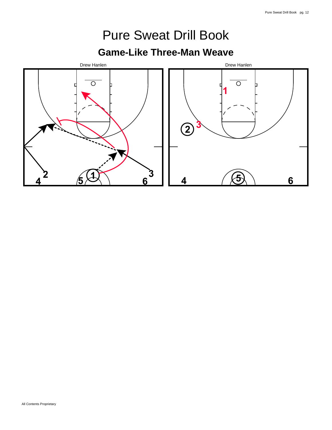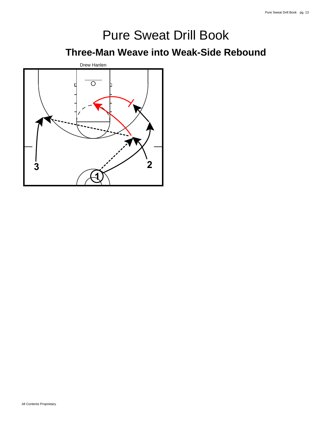### Pure Sweat Drill Book **Three-Man Weave into Weak-Side Rebound**

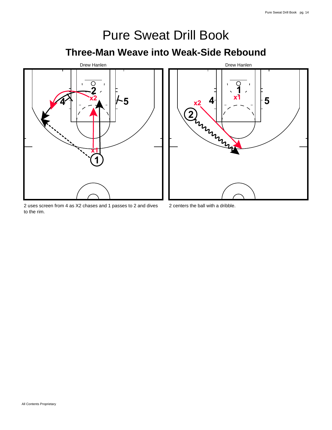## Pure Sweat Drill Book **Three-Man Weave into Weak-Side Rebound**



2 uses screen from 4 as X2 chases and 1 passes to 2 and dives to the rim.



<sup>2</sup> centers the ball with a dribble.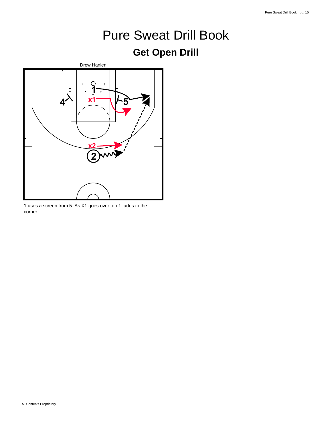#### **Get Open Drill**



1 uses a screen from 5. As X1 goes over top 1 fades to the corner.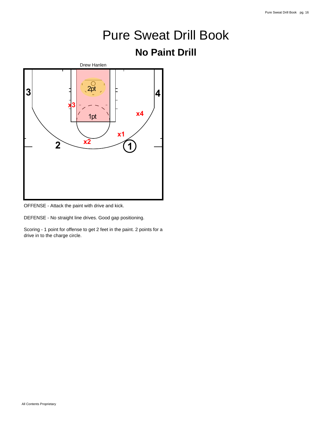#### **No Paint Drill**



OFFENSE - Attack the paint with drive and kick.

DEFENSE - No straight line drives. Good gap positioning.

Scoring - 1 point for offense to get 2 feet in the paint. 2 points for a drive in to the charge circle.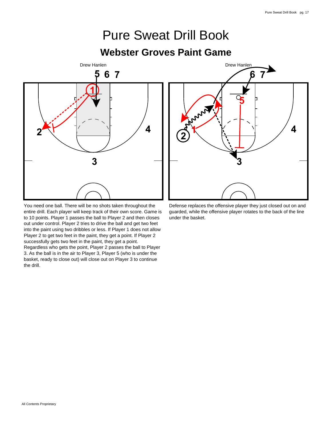### Pure Sweat Drill Book **Webster Groves Paint Game**



You need one ball. There will be no shots taken throughout the entire drill. Each player will keep track of their own score. Game is to 10 points. Player 1 passes the ball to Player 2 and then closes out under control. Player 2 tries to drive the ball and get two feet into the paint using two dribbles or less. If Player 1 does not allow Player 2 to get two feet in the paint, they get a point. If Player 2 successfully gets two feet in the paint, they get a point. Regardless who gets the point, Player 2 passes the ball to Player 3. As the ball is in the air to Player 3, Player 5 (who is under the basket, ready to close out) will close out on Player 3 to continue the drill.



Defense replaces the offensive player they just closed out on and guarded, while the offensive player rotates to the back of the line under the basket.